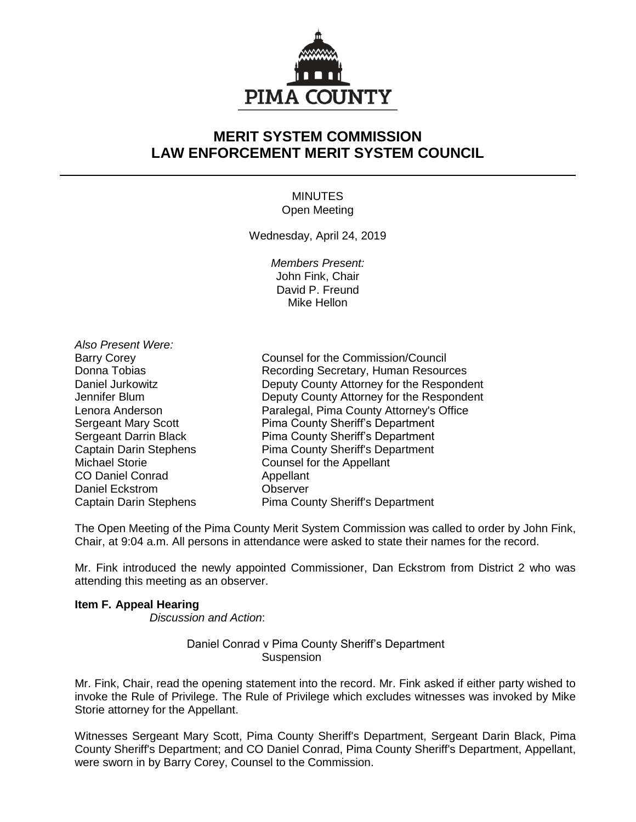

# **MERIT SYSTEM COMMISSION LAW ENFORCEMENT MERIT SYSTEM COUNCIL**

# MINUTES Open Meeting

Wednesday, April 24, 2019

*Members Present:* John Fink, Chair David P. Freund Mike Hellon

*Also Present Were:* CO Daniel Conrad Appellant Daniel Eckstrom **Observer** 

Barry Corey **Counsel for the Commission/Council** Donna Tobias **Recording Secretary, Human Resources**<br>
Deputy County Attorney for the Respondence Daniel Jurkowitz Deputy County Attorney for the Respondent Jennifer Blum Deputy County Attorney for the Respondent Lenora Anderson **Paralegal, Pima County Attorney's Office** Sergeant Mary Scott Pima County Sheriff's Department Sergeant Darrin Black Pima County Sheriff's Department Captain Darin Stephens Pima County Sheriff's Department Michael Storie **Counsel for the Appellant** Captain Darin Stephens Pima County Sheriff's Department

The Open Meeting of the Pima County Merit System Commission was called to order by John Fink, Chair, at 9:04 a.m. All persons in attendance were asked to state their names for the record.

Mr. Fink introduced the newly appointed Commissioner, Dan Eckstrom from District 2 who was attending this meeting as an observer.

### **Item F. Appeal Hearing**

*Discussion and Action*:

## Daniel Conrad v Pima County Sheriff's Department **Suspension**

Mr. Fink, Chair, read the opening statement into the record. Mr. Fink asked if either party wished to invoke the Rule of Privilege. The Rule of Privilege which excludes witnesses was invoked by Mike Storie attorney for the Appellant.

Witnesses Sergeant Mary Scott, Pima County Sheriff's Department, Sergeant Darin Black, Pima County Sheriff's Department; and CO Daniel Conrad, Pima County Sheriff's Department, Appellant, were sworn in by Barry Corey, Counsel to the Commission.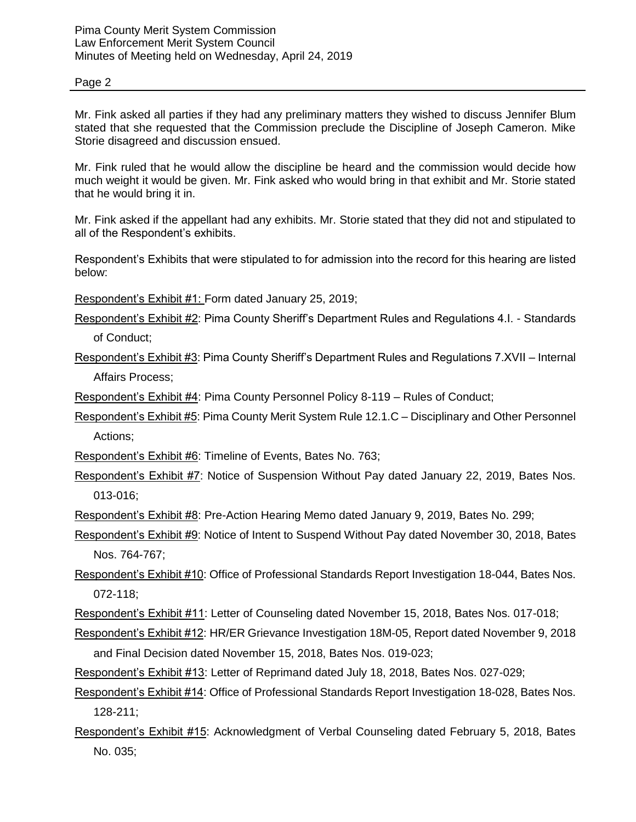### Page 2

Mr. Fink asked all parties if they had any preliminary matters they wished to discuss Jennifer Blum stated that she requested that the Commission preclude the Discipline of Joseph Cameron. Mike Storie disagreed and discussion ensued.

Mr. Fink ruled that he would allow the discipline be heard and the commission would decide how much weight it would be given. Mr. Fink asked who would bring in that exhibit and Mr. Storie stated that he would bring it in.

Mr. Fink asked if the appellant had any exhibits. Mr. Storie stated that they did not and stipulated to all of the Respondent's exhibits.

Respondent's Exhibits that were stipulated to for admission into the record for this hearing are listed below:

Respondent's Exhibit #1: Form dated January 25, 2019;

Respondent's Exhibit #2: Pima County Sheriff's Department Rules and Regulations 4.I. - Standards

of Conduct;

Respondent's Exhibit #3: Pima County Sheriff's Department Rules and Regulations 7.XVII – Internal Affairs Process;

Respondent's Exhibit #4: Pima County Personnel Policy 8-119 – Rules of Conduct;

Respondent's Exhibit #5: Pima County Merit System Rule 12.1.C – Disciplinary and Other Personnel Actions;

Respondent's Exhibit #6: Timeline of Events, Bates No. 763;

Respondent's Exhibit #7: Notice of Suspension Without Pay dated January 22, 2019, Bates Nos. 013-016;

Respondent's Exhibit #8: Pre-Action Hearing Memo dated January 9, 2019, Bates No. 299;

Respondent's Exhibit #9: Notice of Intent to Suspend Without Pay dated November 30, 2018, Bates Nos. 764-767;

Respondent's Exhibit #10: Office of Professional Standards Report Investigation 18-044, Bates Nos. 072-118;

Respondent's Exhibit #11: Letter of Counseling dated November 15, 2018, Bates Nos. 017-018;

- Respondent's Exhibit #12: HR/ER Grievance Investigation 18M-05, Report dated November 9, 2018 and Final Decision dated November 15, 2018, Bates Nos. 019-023;
- Respondent's Exhibit #13: Letter of Reprimand dated July 18, 2018, Bates Nos. 027-029;
- Respondent's Exhibit #14: Office of Professional Standards Report Investigation 18-028, Bates Nos. 128-211;
- Respondent's Exhibit #15: Acknowledgment of Verbal Counseling dated February 5, 2018, Bates No. 035;